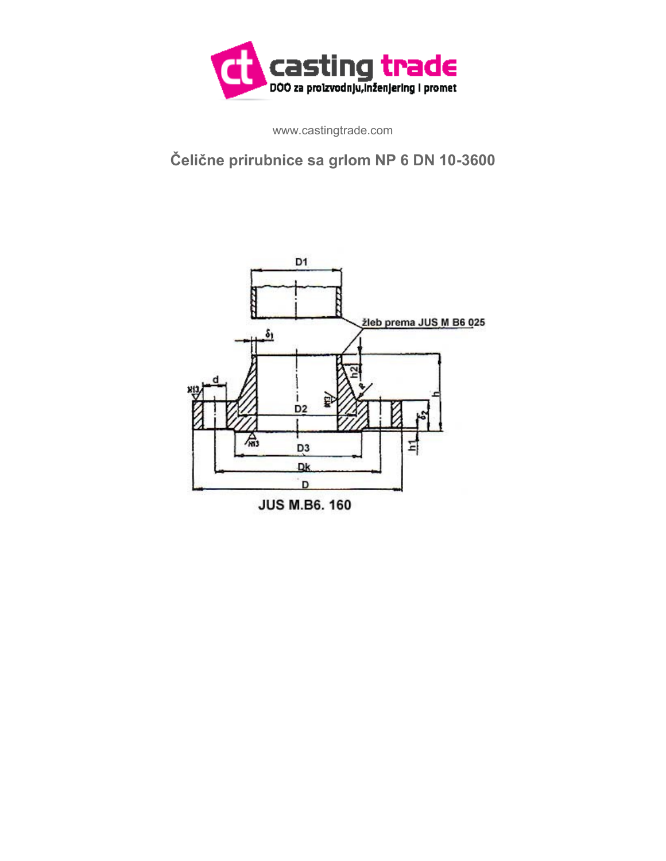

www.castingtrade.com

## **Čelične prirubnice sa grlom NP 6 DN 10-3600**